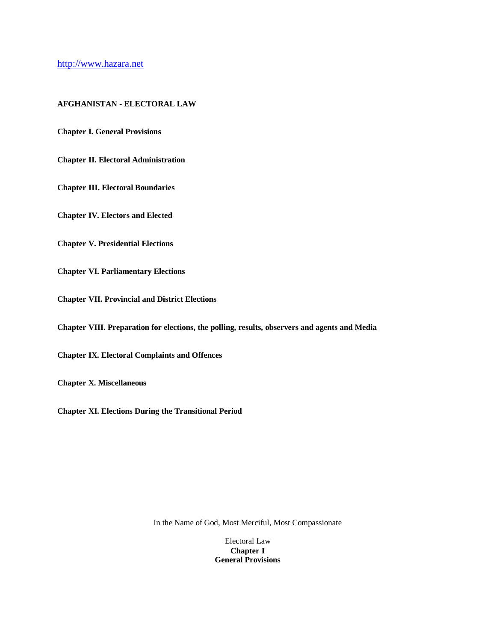http://www.hazara.net

### **AFGHANISTAN - ELECTORAL LAW**

**Chapter I. General Provisions** 

**Chapter II. Electoral Administration**

**Chapter III. Electoral Boundaries**

**Chapter IV. Electors and Elected**

**Chapter V. Presidential Elections**

**Chapter VI. Parliamentary Elections**

**Chapter VII. Provincial and District Elections**

**Chapter VIII. Preparation for elections, the polling, results, observers and agents and Media**

**Chapter IX. Electoral Complaints and Offences**

**Chapter X. Miscellaneous**

**Chapter XI. Elections During the Transitional Period**

In the Name of God, Most Merciful, Most Compassionate

Electoral Law **Chapter I General Provisions**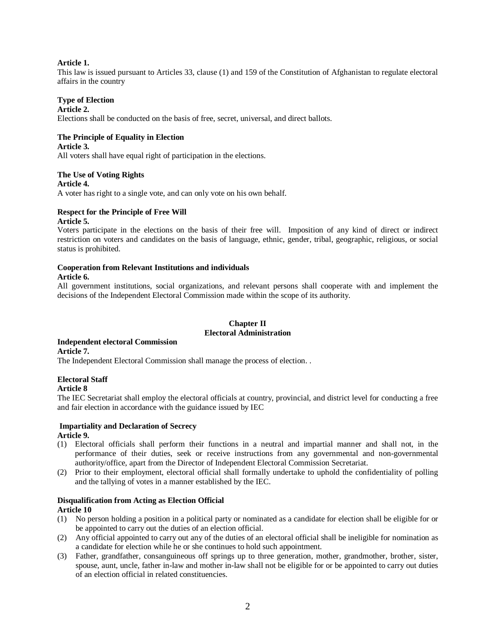### **Article 1.**

This law is issued pursuant to Articles 33, clause (1) and 159 of the Constitution of Afghanistan to regulate electoral affairs in the country

### **Type of Election**

### **Article 2.**

Elections shall be conducted on the basis of free, secret, universal, and direct ballots.

### **The Principle of Equality in Election**

**Article 3.**

All voters shall have equal right of participation in the elections.

### **The Use of Voting Rights**

#### **Article 4.**

A voter has right to a single vote, and can only vote on his own behalf.

### **Respect for the Principle of Free Will**

#### **Article 5.**

Voters participate in the elections on the basis of their free will. Imposition of any kind of direct or indirect restriction on voters and candidates on the basis of language, ethnic, gender, tribal, geographic, religious, or social status is prohibited.

# **Cooperation from Relevant Institutions and individuals**

### **Article 6.**

All government institutions, social organizations, and relevant persons shall cooperate with and implement the decisions of the Independent Electoral Commission made within the scope of its authority.

### **Chapter II Electoral Administration**

# **Independent electoral Commission**

**Article 7.**

The Independent Electoral Commission shall manage the process of election. .

### **Electoral Staff**

#### **Article 8**

The IEC Secretariat shall employ the electoral officials at country, provincial, and district level for conducting a free and fair election in accordance with the guidance issued by IEC

### **Impartiality and Declaration of Secrecy Article 9.**

- (1) Electoral officials shall perform their functions in a neutral and impartial manner and shall not, in the performance of their duties, seek or receive instructions from any governmental and non-governmental authority/office, apart from the Director of Independent Electoral Commission Secretariat.
- (2) Prior to their employment, electoral official shall formally undertake to uphold the confidentiality of polling and the tallying of votes in a manner established by the IEC.

# **Disqualification from Acting as Election Official**

### **Article 10**

- (1) No person holding a position in a political party or nominated as a candidate for election shall be eligible for or be appointed to carry out the duties of an election official.
- (2) Any official appointed to carry out any of the duties of an electoral official shall be ineligible for nomination as a candidate for election while he or she continues to hold such appointment.
- (3) Father, grandfather, consanguineous off springs up to three generation, mother, grandmother, brother, sister, spouse, aunt, uncle, father in-law and mother in-law shall not be eligible for or be appointed to carry out duties of an election official in related constituencies.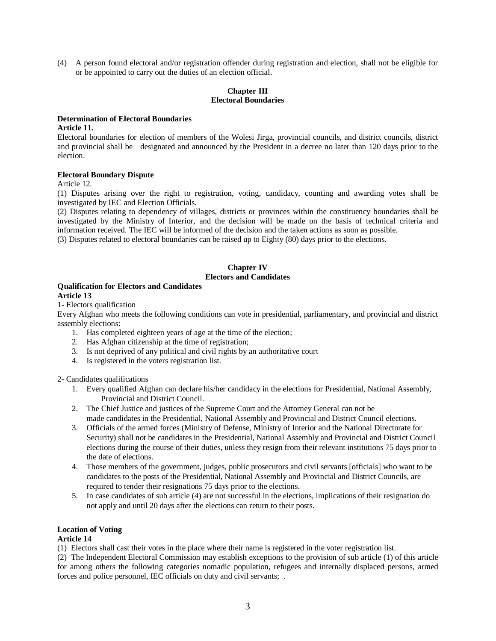(4) A person found electoral and/or registration offender during registration and election, shall not be eligible for or be appointed to carry out the duties of an election official.

### **Chapter III Electoral Boundaries**

# **Determination of Electoral Boundaries**

### **Article 11.**

Electoral boundaries for election of members of the Wolesi Jirga, provincial councils, and district councils, district and provincial shall be designated and announced by the President in a decree no later than 120 days prior to the election.

### **Electoral Boundary Dispute**

Article 12.

(1) Disputes arising over the right to registration, voting, candidacy, counting and awarding votes shall be investigated by IEC and Election Officials.

(2) Disputes relating to dependency of villages, districts or provinces within the constituency boundaries shall be investigated by the Ministry of Interior, and the decision will be made on the basis of technical criteria and information received. The IEC will be informed of the decision and the taken actions as soon as possible.

(3) Disputes related to electoral boundaries can be raised up to Eighty (80) days prior to the elections.

### **Chapter IV Electors and Candidates**

#### **Qualification for Electors and Candidates Article 13**

1- Electors qualification

Every Afghan who meets the following conditions can vote in presidential, parliamentary, and provincial and district assembly elections:

- 1. Has completed eighteen years of age at the time of the election;
- 2. Has Afghan citizenship at the time of registration;
- 3. Is not deprived of any political and civil rights by an authoritative court
- 4. Is registered in the voters registration list.

2- Candidates qualifications

- 1. Every qualified Afghan can declare his/her candidacy in the elections for Presidential, National Assembly, Provincial and District Council.
- 2. The Chief Justice and justices of the Supreme Court and the Attorney General can not be made candidates in the Presidential, National Assembly and Provincial and District Council elections.
- 3. Officials of the armed forces (Ministry of Defense, Ministry of Interior and the National Directorate for Security) shall not be candidates in the Presidential, National Assembly and Provincial and District Council elections during the course of their duties, unless they resign from their relevant institutions 75 days prior to the date of elections.
- 4. Those members of the government, judges, public prosecutors and civil servants [officials] who want to be candidates to the posts of the Presidential, National Assembly and Provincial and District Councils, are required to tender their resignations 75 days prior to the elections.
- 5. In case candidates of sub article (4) are not successful in the elections, implications of their resignation do not apply and until 20 days after the elections can return to their posts.

# **Location of Voting**

### **Article 14**

(1) Electors shall cast their votes in the place where their name is registered in the voter registration list.

(2) The Independent Electoral Commission may establish exceptions to the provision of sub article (1) of this article for among others the following categories nomadic population, refugees and internally displaced persons, armed forces and police personnel, IEC officials on duty and civil servants; .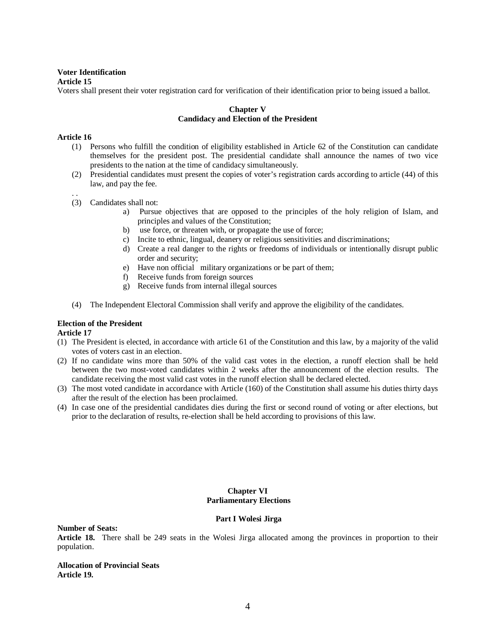#### **Voter Identification Article 15**

Voters shall present their voter registration card for verification of their identification prior to being issued a ballot.

### **Chapter V Candidacy and Election of the President**

### **Article 16**

- (1) Persons who fulfill the condition of eligibility established in Article 62 of the Constitution can candidate themselves for the president post. The presidential candidate shall announce the names of two vice presidents to the nation at the time of candidacy simultaneously.
- (2) Presidential candidates must present the copies of voter's registration cards according to article (44) of this law, and pay the fee.
- . . (3) Candidates shall not:
	- a) Pursue objectives that are opposed to the principles of the holy religion of Islam, and principles and values of the Constitution;
	- b) use force, or threaten with, or propagate the use of force;
	- c) Incite to ethnic, lingual, deanery or religious sensitivities and discriminations;
	- d) Create a real danger to the rights or freedoms of individuals or intentionally disrupt public order and security;
	- e) Have non official military organizations or be part of them;
	- f) Receive funds from foreign sources
	- g) Receive funds from internal illegal sources
- (4) The Independent Electoral Commission shall verify and approve the eligibility of the candidates.

### **Election of the President**

**Article 17**

- (1) The President is elected, in accordance with article 61 of the Constitution and this law, by a majority of the valid votes of voters cast in an election.
- (2) If no candidate wins more than 50% of the valid cast votes in the election, a runoff election shall be held between the two most-voted candidates within 2 weeks after the announcement of the election results. The candidate receiving the most valid cast votes in the runoff election shall be declared elected.
- (3) The most voted candidate in accordance with Article (160) of the Constitution shall assume his duties thirty days after the result of the election has been proclaimed.
- (4) In case one of the presidential candidates dies during the first or second round of voting or after elections, but prior to the declaration of results, re-election shall be held according to provisions of this law.

### **Chapter VI Parliamentary Elections**

#### **Part I Wolesi Jirga**

**Number of Seats:**

**Article 18.** There shall be 249 seats in the Wolesi Jirga allocated among the provinces in proportion to their population.

**Allocation of Provincial Seats Article 19.**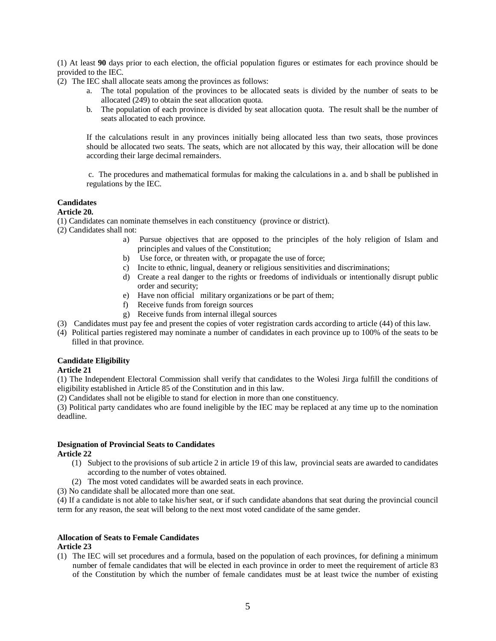(1) At least **90** days prior to each election, the official population figures or estimates for each province should be provided to the IEC.

- (2) The IEC shall allocate seats among the provinces as follows:
	- a. The total population of the provinces to be allocated seats is divided by the number of seats to be allocated (249) to obtain the seat allocation quota.
	- b. The population of each province is divided by seat allocation quota. The result shall be the number of seats allocated to each province.

If the calculations result in any provinces initially being allocated less than two seats, those provinces should be allocated two seats. The seats, which are not allocated by this way, their allocation will be done according their large decimal remainders.

 c. The procedures and mathematical formulas for making the calculations in a. and b shall be published in regulations by the IEC.

### **Candidates**

**Article 20.** 

(1) Candidates can nominate themselves in each constituency (province or district).

(2) Candidates shall not:

- a) Pursue objectives that are opposed to the principles of the holy religion of Islam and principles and values of the Constitution;
- b) Use force, or threaten with, or propagate the use of force;
- c) Incite to ethnic, lingual, deanery or religious sensitivities and discriminations;
- d) Create a real danger to the rights or freedoms of individuals or intentionally disrupt public order and security;
- e) Have non official military organizations or be part of them;
- f) Receive funds from foreign sources
- g) Receive funds from internal illegal sources
- (3) Candidates must pay fee and present the copies of voter registration cards according to article (44) of this law.
- (4) Political parties registered may nominate a number of candidates in each province up to 100% of the seats to be filled in that province.

#### **Candidate Eligibility Article 21**

(1) The Independent Electoral Commission shall verify that candidates to the Wolesi Jirga fulfill the conditions of eligibility established in Article 85 of the Constitution and in this law.

(2) Candidates shall not be eligible to stand for election in more than one constituency.

(3) Political party candidates who are found ineligible by the IEC may be replaced at any time up to the nomination deadline.

#### **Designation of Provincial Seats to Candidates Article 22**

- (1) Subject to the provisions of sub article 2 in article 19 of this law, provincial seats are awarded to candidates according to the number of votes obtained.
- (2) The most voted candidates will be awarded seats in each province.

(3) No candidate shall be allocated more than one seat.

(4) If a candidate is not able to take his/her seat, or if such candidate abandons that seat during the provincial council term for any reason, the seat will belong to the next most voted candidate of the same gender.

### **Allocation of Seats to Female Candidates**

### **Article 23**

(1) The IEC will set procedures and a formula, based on the population of each provinces, for defining a minimum number of female candidates that will be elected in each province in order to meet the requirement of article 83 of the Constitution by which the number of female candidates must be at least twice the number of existing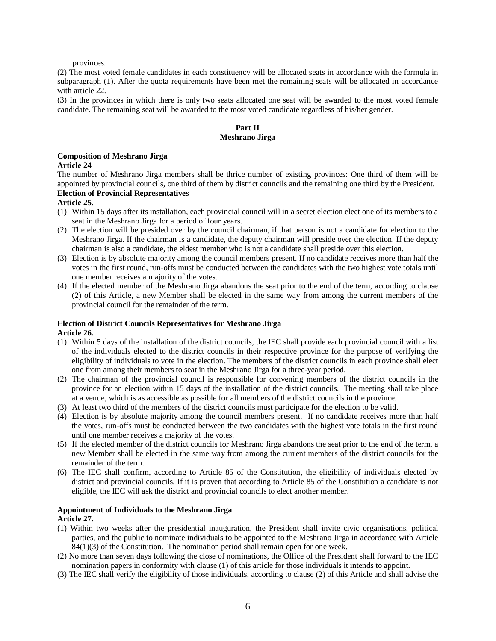provinces.

(2) The most voted female candidates in each constituency will be allocated seats in accordance with the formula in subparagraph (1). After the quota requirements have been met the remaining seats will be allocated in accordance with article 22.

(3) In the provinces in which there is only two seats allocated one seat will be awarded to the most voted female candidate. The remaining seat will be awarded to the most voted candidate regardless of his/her gender.

### **Part II Meshrano Jirga**

#### **Composition of Meshrano Jirga**

#### **Article 24**

The number of Meshrano Jirga members shall be thrice number of existing provinces: One third of them will be appointed by provincial councils, one third of them by district councils and the remaining one third by the President.

# **Election of Provincial Representatives**

#### **Article 25.**

- (1) Within 15 days after its installation, each provincial council will in a secret election elect one of its members to a seat in the Meshrano Jirga for a period of four years.
- (2) The election will be presided over by the council chairman, if that person is not a candidate for election to the Meshrano Jirga. If the chairman is a candidate, the deputy chairman will preside over the election. If the deputy chairman is also a candidate, the eldest member who is not a candidate shall preside over this election.
- (3) Election is by absolute majority among the council members present. If no candidate receives more than half the votes in the first round, run-offs must be conducted between the candidates with the two highest vote totals until one member receives a majority of the votes.
- (4) If the elected member of the Meshrano Jirga abandons the seat prior to the end of the term, according to clause (2) of this Article, a new Member shall be elected in the same way from among the current members of the provincial council for the remainder of the term.

### **Election of District Councils Representatives for Meshrano Jirga**

**Article 26.** 

- (1) Within 5 days of the installation of the district councils, the IEC shall provide each provincial council with a list of the individuals elected to the district councils in their respective province for the purpose of verifying the eligibility of individuals to vote in the election. The members of the district councils in each province shall elect one from among their members to seat in the Meshrano Jirga for a three-year period.
- (2) The chairman of the provincial council is responsible for convening members of the district councils in the province for an election within 15 days of the installation of the district councils. The meeting shall take place at a venue, which is as accessible as possible for all members of the district councils in the province.
- (3) At least two third of the members of the district councils must participate for the election to be valid.
- (4) Election is by absolute majority among the council members present. If no candidate receives more than half the votes, run-offs must be conducted between the two candidates with the highest vote totals in the first round until one member receives a majority of the votes.
- (5) If the elected member of the district councils for Meshrano Jirga abandons the seat prior to the end of the term, a new Member shall be elected in the same way from among the current members of the district councils for the remainder of the term.
- (6) The IEC shall confirm, according to Article 85 of the Constitution, the eligibility of individuals elected by district and provincial councils. If it is proven that according to Article 85 of the Constitution a candidate is not eligible, the IEC will ask the district and provincial councils to elect another member.

### **Appointment of Individuals to the Meshrano Jirga**

#### **Article 27.**

- (1) Within two weeks after the presidential inauguration, the President shall invite civic organisations, political parties, and the public to nominate individuals to be appointed to the Meshrano Jirga in accordance with Article 84(1)(3) of the Constitution. The nomination period shall remain open for one week.
- (2) No more than seven days following the close of nominations, the Office of the President shall forward to the IEC nomination papers in conformity with clause (1) of this article for those individuals it intends to appoint.
- (3) The IEC shall verify the eligibility of those individuals, according to clause (2) of this Article and shall advise the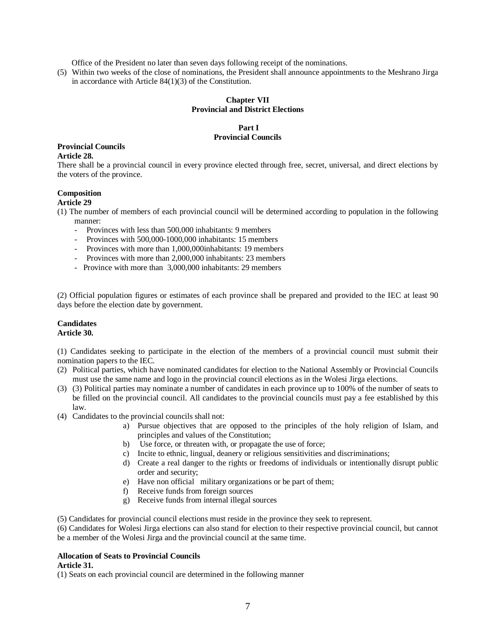Office of the President no later than seven days following receipt of the nominations.

(5) Within two weeks of the close of nominations, the President shall announce appointments to the Meshrano Jirga in accordance with Article 84(1)(3) of the Constitution.

### **Chapter VII Provincial and District Elections**

### **Part I Provincial Councils**

# **Provincial Councils**

### **Article 28.**

There shall be a provincial council in every province elected through free, secret, universal, and direct elections by the voters of the province.

### **Composition**

### **Article 29**

- (1) The number of members of each provincial council will be determined according to population in the following manner:
	- Provinces with less than 500,000 inhabitants: 9 members
	- Provinces with 500,000-1000,000 inhabitants: 15 members
	- Provinces with more than 1,000,000inhabitants: 19 members
	- Provinces with more than 2,000,000 inhabitants: 23 members
	- Province with more than 3,000,000 inhabitants: 29 members

(2) Official population figures or estimates of each province shall be prepared and provided to the IEC at least 90 days before the election date by government.

#### **Candidates Article 30.**

(1) Candidates seeking to participate in the election of the members of a provincial council must submit their nomination papers to the IEC.

- (2) Political parties, which have nominated candidates for election to the National Assembly or Provincial Councils must use the same name and logo in the provincial council elections as in the Wolesi Jirga elections.
- (3) (3) Political parties may nominate a number of candidates in each province up to 100% of the number of seats to be filled on the provincial council. All candidates to the provincial councils must pay a fee established by this law.
- (4) Candidates to the provincial councils shall not:
	- a) Pursue objectives that are opposed to the principles of the holy religion of Islam, and principles and values of the Constitution;
	- b) Use force, or threaten with, or propagate the use of force;
	- c) Incite to ethnic, lingual, deanery or religious sensitivities and discriminations;
	- d) Create a real danger to the rights or freedoms of individuals or intentionally disrupt public order and security;
	- e) Have non official military organizations or be part of them;
	- f) Receive funds from foreign sources
	- g) Receive funds from internal illegal sources

(5) Candidates for provincial council elections must reside in the province they seek to represent.

(6) Candidates for Wolesi Jirga elections can also stand for election to their respective provincial council, but cannot be a member of the Wolesi Jirga and the provincial council at the same time.

#### **Allocation of Seats to Provincial Councils Article 31.**

(1) Seats on each provincial council are determined in the following manner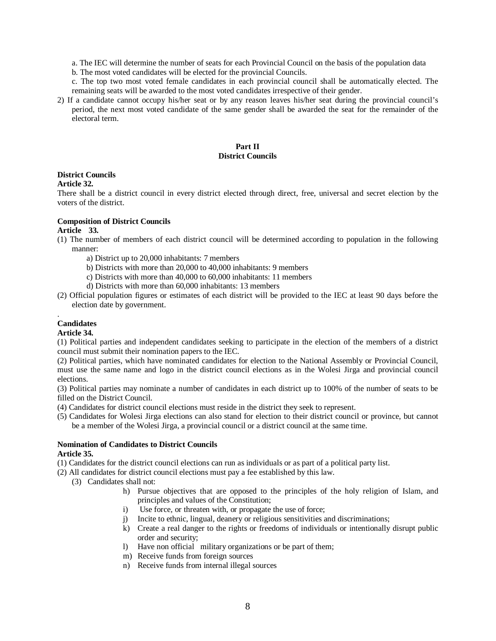a. The IEC will determine the number of seats for each Provincial Council on the basis of the population data

b. The most voted candidates will be elected for the provincial Councils.

c. The top two most voted female candidates in each provincial council shall be automatically elected. The remaining seats will be awarded to the most voted candidates irrespective of their gender.

2) If a candidate cannot occupy his/her seat or by any reason leaves his/her seat during the provincial council's period, the next most voted candidate of the same gender shall be awarded the seat for the remainder of the electoral term.

### **Part II District Councils**

### **District Councils**

### **Article 32.**

There shall be a district council in every district elected through direct, free, universal and secret election by the voters of the district.

### **Composition of District Councils**

### **Article 33.**

- (1) The number of members of each district council will be determined according to population in the following manner:
	- a) District up to 20,000 inhabitants: 7 members
	- b) Districts with more than 20,000 to 40,000 inhabitants: 9 members
	- c) Districts with more than 40,000 to 60,000 inhabitants: 11 members
	- d) Districts with more than 60,000 inhabitants: 13 members
- (2) Official population figures or estimates of each district will be provided to the IEC at least 90 days before the election date by government.

#### . **Candidates**

#### **Article 34.**

(1) Political parties and independent candidates seeking to participate in the election of the members of a district council must submit their nomination papers to the IEC.

(2) Political parties, which have nominated candidates for election to the National Assembly or Provincial Council, must use the same name and logo in the district council elections as in the Wolesi Jirga and provincial council elections.

(3) Political parties may nominate a number of candidates in each district up to 100% of the number of seats to be filled on the District Council.

- (4) Candidates for district council elections must reside in the district they seek to represent.
- (5) Candidates for Wolesi Jirga elections can also stand for election to their district council or province, but cannot be a member of the Wolesi Jirga, a provincial council or a district council at the same time.

#### **Nomination of Candidates to District Councils Article 35.**

- (1) Candidates for the district council elections can run as individuals or as part of a political party list.
- (2) All candidates for district council elections must pay a fee established by this law.
	- (3) Candidates shall not:
		- h) Pursue objectives that are opposed to the principles of the holy religion of Islam, and principles and values of the Constitution;
		- i) Use force, or threaten with, or propagate the use of force;
		- j) Incite to ethnic, lingual, deanery or religious sensitivities and discriminations;
		- k) Create a real danger to the rights or freedoms of individuals or intentionally disrupt public order and security;
		- l) Have non official military organizations or be part of them;
		- m) Receive funds from foreign sources
		- n) Receive funds from internal illegal sources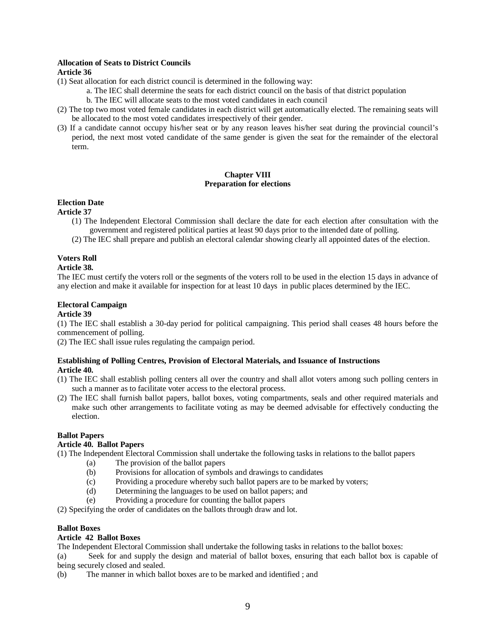### **Allocation of Seats to District Councils**

### **Article 36**

- (1) Seat allocation for each district council is determined in the following way:
	- a. The IEC shall determine the seats for each district council on the basis of that district population
		- b. The IEC will allocate seats to the most voted candidates in each council
- (2) The top two most voted female candidates in each district will get automatically elected. The remaining seats will be allocated to the most voted candidates irrespectively of their gender.
- (3) If a candidate cannot occupy his/her seat or by any reason leaves his/her seat during the provincial council's period, the next most voted candidate of the same gender is given the seat for the remainder of the electoral term.

### **Chapter VIII Preparation for elections**

### **Election Date**

### **Article 37**

- (1) The Independent Electoral Commission shall declare the date for each election after consultation with the government and registered political parties at least 90 days prior to the intended date of polling.
- (2) The IEC shall prepare and publish an electoral calendar showing clearly all appointed dates of the election.

### **Voters Roll**

### **Article 38.**

The IEC must certify the voters roll or the segments of the voters roll to be used in the election 15 days in advance of any election and make it available for inspection for at least 10 days in public places determined by the IEC.

### **Electoral Campaign**

### **Article 39**

(1) The IEC shall establish a 30-day period for political campaigning. This period shall ceases 48 hours before the commencement of polling.

(2) The IEC shall issue rules regulating the campaign period.

#### **Establishing of Polling Centres, Provision of Electoral Materials, and Issuance of Instructions Article 40.**

- (1) The IEC shall establish polling centers all over the country and shall allot voters among such polling centers in such a manner as to facilitate voter access to the electoral process.
- (2) The IEC shall furnish ballot papers, ballot boxes, voting compartments, seals and other required materials and make such other arrangements to facilitate voting as may be deemed advisable for effectively conducting the election.

### **Ballot Papers**

### **Article 40. Ballot Papers**

(1) The Independent Electoral Commission shall undertake the following tasks in relations to the ballot papers

- (a) The provision of the ballot papers
- (b) Provisions for allocation of symbols and drawings to candidates
- (c) Providing a procedure whereby such ballot papers are to be marked by voters;
- (d) Determining the languages to be used on ballot papers; and
- (e) Providing a procedure for counting the ballot papers

(2) Specifying the order of candidates on the ballots through draw and lot.

### **Ballot Boxes**

### **Article 42 Ballot Boxes**

The Independent Electoral Commission shall undertake the following tasks in relations to the ballot boxes:

(a) Seek for and supply the design and material of ballot boxes, ensuring that each ballot box is capable of being securely closed and sealed.

(b) The manner in which ballot boxes are to be marked and identified ; and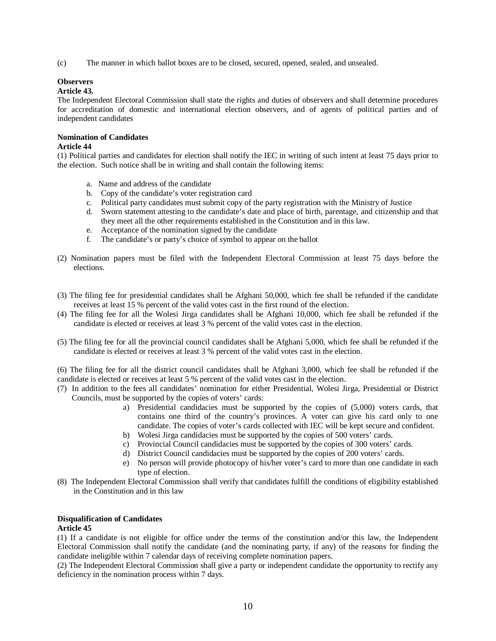(c) The manner in which ballot boxes are to be closed, secured, opened, sealed, and unsealed.

### **Observers**

### **Article 43.**

The Independent Electoral Commission shall state the rights and duties of observers and shall determine procedures for accreditation of domestic and international election observers, and of agents of political parties and of independent candidates

## **Nomination of Candidates**

### **Article 44**

(1) Political parties and candidates for election shall notify the IEC in writing of such intent at least 75 days prior to the election. Such notice shall be in writing and shall contain the following items:

- a. Name and address of the candidate
- b. Copy of the candidate's voter registration card
- c. Political party candidates must submit copy of the party registration with the Ministry of Justice
- d. Sworn statement attesting to the candidate's date and place of birth, parentage, and citizenship and that they meet all the other requirements established in the Constitution and in this law.
- e. Acceptance of the nomination signed by the candidate
- f. The candidate's or party's choice of symbol to appear on the ballot
- (2) Nomination papers must be filed with the Independent Electoral Commission at least 75 days before the elections.
- (3) The filing fee for presidential candidates shall be Afghani 50,000, which fee shall be refunded if the candidate receives at least 15 % percent of the valid votes cast in the first round of the election.
- (4) The filing fee for all the Wolesi Jirga candidates shall be Afghani 10,000, which fee shall be refunded if the candidate is elected or receives at least 3 % percent of the valid votes cast in the election.
- (5) The filing fee for all the provincial council candidates shall be Afghani 5,000, which fee shall be refunded if the candidate is elected or receives at least 3 % percent of the valid votes cast in the election.

(6) The filing fee for all the district council candidates shall be Afghani 3,000, which fee shall be refunded if the candidate is elected or receives at least 5 % percent of the valid votes cast in the election.

- (7) In addition to the fees all candidates' nomination for either Presidential, Wolesi Jirga, Presidential or District Councils, must be supported by the copies of voters' cards:
	- a) Presidential candidacies must be supported by the copies of (5,000) voters cards, that contains one third of the country's provinces. A voter can give his card only to one candidate. The copies of voter's cards collected with IEC will be kept secure and confident.
	- b) Wolesi Jirga candidacies must be supported by the copies of 500 voters' cards.
	- c) Provincial Council candidacies must be supported by the copies of 300 voters' cards.
	- d) District Council candidacies must be supported by the copies of 200 voters' cards.
	- e) No person will provide photocopy of his/her voter's card to more than one candidate in each type of election.
- (8) The Independent Electoral Commission shall verify that candidates fulfill the conditions of eligibility established in the Constitution and in this law

### **Disqualification of Candidates Article 45**

(1) If a candidate is not eligible for office under the terms of the constitution and/or this law, the Independent Electoral Commission shall notify the candidate (and the nominating party, if any) of the reasons for finding the candidate ineligible within 7 calendar days of receiving complete nomination papers.

(2) The Independent Electoral Commission shall give a party or independent candidate the opportunity to rectify any deficiency in the nomination process within 7 days.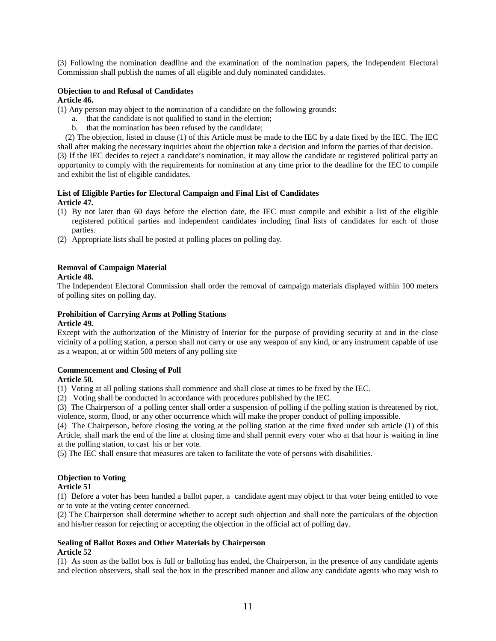(3) Following the nomination deadline and the examination of the nomination papers, the Independent Electoral Commission shall publish the names of all eligible and duly nominated candidates.

#### **Objection to and Refusal of Candidates Article 46.**

(1) Any person may object to the nomination of a candidate on the following grounds:

- a. that the candidate is not qualified to stand in the election;
- b. that the nomination has been refused by the candidate;

 (2) The objection, listed in clause (1) of this Article must be made to the IEC by a date fixed by the IEC. The IEC shall after making the necessary inquiries about the objection take a decision and inform the parties of that decision. (3) If the IEC decides to reject a candidate's nomination, it may allow the candidate or registered political party an opportunity to comply with the requirements for nomination at any time prior to the deadline for the IEC to compile and exhibit the list of eligible candidates.

### **List of Eligible Parties for Electoral Campaign and Final List of Candidates Article 47.**

- (1) By not later than 60 days before the election date, the IEC must compile and exhibit a list of the eligible registered political parties and independent candidates including final lists of candidates for each of those parties.
- (2) Appropriate lists shall be posted at polling places on polling day.

# **Removal of Campaign Material**

### **Article 48.**

The Independent Electoral Commission shall order the removal of campaign materials displayed within 100 meters of polling sites on polling day.

### **Prohibition of Carrying Arms at Polling Stations**

#### **Article 49.**

Except with the authorization of the Ministry of Interior for the purpose of providing security at and in the close vicinity of a polling station, a person shall not carry or use any weapon of any kind, or any instrument capable of use as a weapon, at or within 500 meters of any polling site

# **Commencement and Closing of Poll**

### **Article 50.**

(1) Voting at all polling stations shall commence and shall close at times to be fixed by the IEC.

(2) Voting shall be conducted in accordance with procedures published by the IEC.

(3) The Chairperson of a polling center shall order a suspension of polling if the polling station is threatened by riot, violence, storm, flood, or any other occurrence which will make the proper conduct of polling impossible.

(4) The Chairperson, before closing the voting at the polling station at the time fixed under sub article (1) of this Article, shall mark the end of the line at closing time and shall permit every voter who at that hour is waiting in line at the polling station, to cast his or her vote.

(5) The IEC shall ensure that measures are taken to facilitate the vote of persons with disabilities.

# **Objection to Voting**

### **Article 51**

(1) Before a voter has been handed a ballot paper, a candidate agent may object to that voter being entitled to vote or to vote at the voting center concerned.

(2) The Chairperson shall determine whether to accept such objection and shall note the particulars of the objection and his/her reason for rejecting or accepting the objection in the official act of polling day.

#### **Sealing of Ballot Boxes and Other Materials by Chairperson Article 52**

(1) As soon as the ballot box is full or balloting has ended, the Chairperson, in the presence of any candidate agents and election observers, shall seal the box in the prescribed manner and allow any candidate agents who may wish to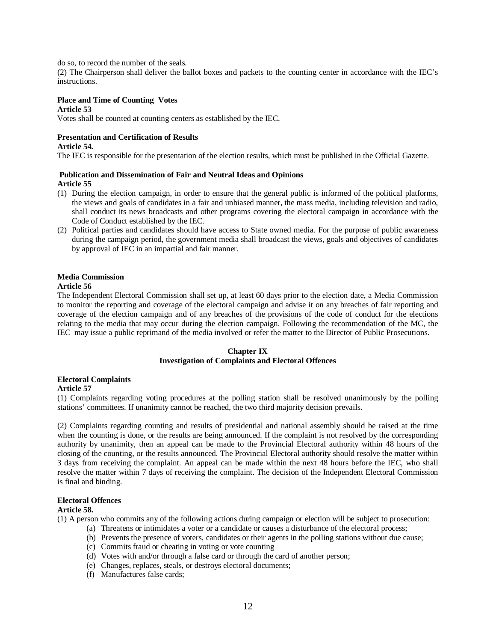do so, to record the number of the seals.

(2) The Chairperson shall deliver the ballot boxes and packets to the counting center in accordance with the IEC's instructions.

#### **Place and Time of Counting Votes Article 53**

Votes shall be counted at counting centers as established by the IEC.

# **Presentation and Certification of Results**

## **Article 54.**

The IEC is responsible for the presentation of the election results, which must be published in the Official Gazette.

#### **Publication and Dissemination of Fair and Neutral Ideas and Opinions Article 55**

- (1) During the election campaign, in order to ensure that the general public is informed of the political platforms, the views and goals of candidates in a fair and unbiased manner, the mass media, including television and radio, shall conduct its news broadcasts and other programs covering the electoral campaign in accordance with the Code of Conduct established by the IEC.
- (2) Political parties and candidates should have access to State owned media. For the purpose of public awareness during the campaign period, the government media shall broadcast the views, goals and objectives of candidates by approval of IEC in an impartial and fair manner.

### **Media Commission**

#### **Article 56**

The Independent Electoral Commission shall set up, at least 60 days prior to the election date, a Media Commission to monitor the reporting and coverage of the electoral campaign and advise it on any breaches of fair reporting and coverage of the election campaign and of any breaches of the provisions of the code of conduct for the elections relating to the media that may occur during the election campaign. Following the recommendation of the MC, the IEC may issue a public reprimand of the media involved or refer the matter to the Director of Public Prosecutions.

### **Chapter IX Investigation of Complaints and Electoral Offences**

### **Electoral Complaints**

#### **Article 57**

(1) Complaints regarding voting procedures at the polling station shall be resolved unanimously by the polling stations' committees. If unanimity cannot be reached, the two third majority decision prevails.

(2) Complaints regarding counting and results of presidential and national assembly should be raised at the time when the counting is done, or the results are being announced. If the complaint is not resolved by the corresponding authority by unanimity, then an appeal can be made to the Provincial Electoral authority within 48 hours of the closing of the counting, or the results announced. The Provincial Electoral authority should resolve the matter within 3 days from receiving the complaint. An appeal can be made within the next 48 hours before the IEC, who shall resolve the matter within 7 days of receiving the complaint. The decision of the Independent Electoral Commission is final and binding.

#### **Electoral Offences**

### **Article 58.**

(1) A person who commits any of the following actions during campaign or election will be subject to prosecution:

- (a) Threatens or intimidates a voter or a candidate or causes a disturbance of the electoral process;
- (b) Prevents the presence of voters, candidates or their agents in the polling stations without due cause;
- (c) Commits fraud or cheating in voting or vote counting
- (d) Votes with and/or through a false card or through the card of another person;
- (e) Changes, replaces, steals, or destroys electoral documents;
- (f) Manufactures false cards;